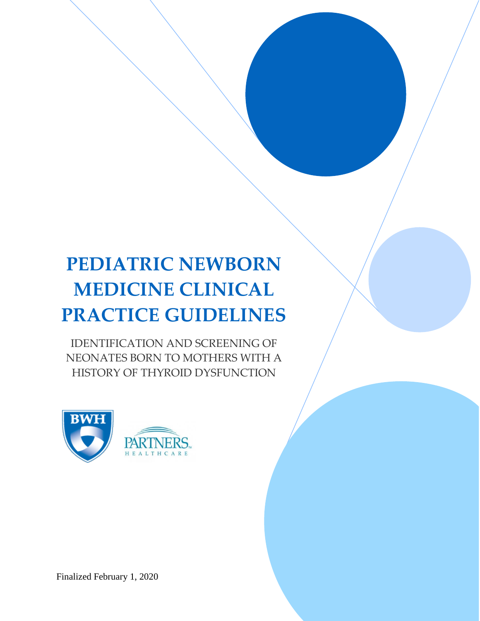# **PEDIATRIC NEWBORN MEDICINE CLINICAL PRACTICE GUIDELINES**

IDENTIFICATION AND SCREENING OF NEONATES BORN TO MOTHERS WITH A HISTORY OF THYROID DYSFUNCTION



Finalized February 1, 2020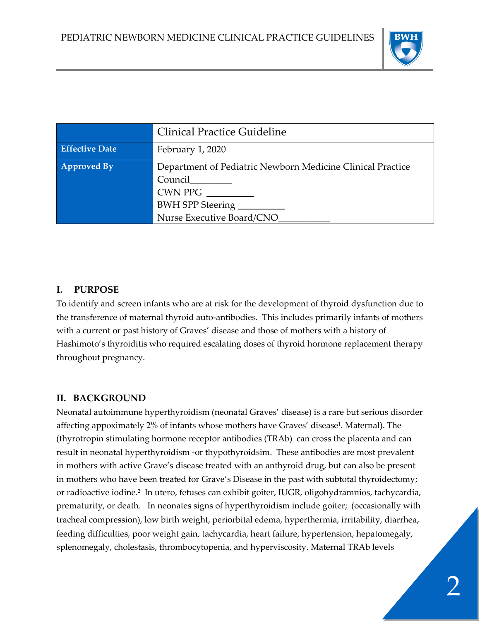

|                       | <b>Clinical Practice Guideline</b>                                                                                                              |
|-----------------------|-------------------------------------------------------------------------------------------------------------------------------------------------|
| <b>Effective Date</b> | February 1, 2020                                                                                                                                |
| <b>Approved By</b>    | Department of Pediatric Newborn Medicine Clinical Practice<br>Council<br><b>CWN PPG</b><br><b>BWH SPP Steering</b><br>Nurse Executive Board/CNO |

# **I. PURPOSE**

To identify and screen infants who are at risk for the development of thyroid dysfunction due to the transference of maternal thyroid auto-antibodies. This includes primarily infants of mothers with a current or past history of Graves' disease and those of mothers with a history of Hashimoto's thyroiditis who required escalating doses of thyroid hormone replacement therapy throughout pregnancy.

#### **II. BACKGROUND**

Neonatal autoimmune hyperthyroidism (neonatal Graves' disease) is a rare but serious disorder affecting appoximately 2% of infants whose mothers have Graves' disease<sup>1</sup>. Maternal). The (thyrotropin stimulating hormone receptor antibodies (TRAb) can cross the placenta and can result in neonatal hyperthyroidism -or thypothyroidsim. These antibodies are most prevalent in mothers with active Grave's disease treated with an anthyroid drug, but can also be present in mothers who have been treated for Grave's Disease in the past with subtotal thyroidectomy; or radioactive iodine.<sup>2</sup> In utero, fetuses can exhibit goiter, IUGR, oligohydramnios, tachycardia, prematurity, or death. In neonates signs of hyperthyroidism include goiter; (occasionally with tracheal compression), low birth weight, periorbital edema, hyperthermia, irritability, diarrhea, feeding difficulties, poor weight gain, tachycardia, heart failure, hypertension, hepatomegaly, splenomegaly, cholestasis, thrombocytopenia, and hyperviscosity. Maternal TRAb levels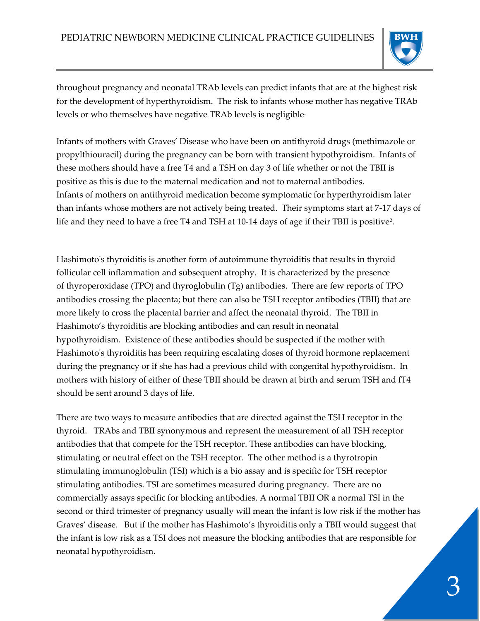

throughout pregnancy and neonatal TRAb levels can predict infants that are at the highest risk for the development of hyperthyroidism. The risk to infants whose mother has negative TRAb levels or who themselves have negative TRAb levels is negligible.

Infants of mothers with Graves' Disease who have been on antithyroid drugs (methimazole or propylthiouracil) during the pregnancy can be born with transient hypothyroidism. Infants of these mothers should have a free T4 and a TSH on day 3 of life whether or not the TBII is positive as this is due to the maternal medication and not to maternal antibodies. Infants of mothers on antithyroid medication become symptomatic for hyperthyroidism later than infants whose mothers are not actively being treated. Their symptoms start at 7-17 days of life and they need to have a free T4 and TSH at 10-14 days of age if their TBII is positive<sup>2</sup>.

Hashimoto's thyroiditis is another form of autoimmune thyroiditis that results in thyroid follicular cell inflammation and subsequent atrophy. It is characterized by the presence of thyroperoxidase (TPO) and thyroglobulin (Tg) antibodies. There are few reports of TPO antibodies crossing the placenta; but there can also be TSH receptor antibodies (TBII) that are more likely to cross the placental barrier and affect the neonatal thyroid. The TBII in Hashimoto's thyroiditis are blocking antibodies and can result in neonatal hypothyroidism. Existence of these antibodies should be suspected if the mother with Hashimoto's thyroiditis has been requiring escalating doses of thyroid hormone replacement during the pregnancy or if she has had a previous child with congenital hypothyroidism. In mothers with history of either of these TBII should be drawn at birth and serum TSH and fT4 should be sent around 3 days of life.

There are two ways to measure antibodies that are directed against the TSH receptor in the thyroid. TRAbs and TBII synonymous and represent the measurement of all TSH receptor antibodies that that compete for the TSH receptor. These antibodies can have blocking, stimulating or neutral effect on the TSH receptor. The other method is a thyrotropin stimulating immunoglobulin (TSI) which is a bio assay and is specific for TSH receptor stimulating antibodies. TSI are sometimes measured during pregnancy. There are no commercially assays specific for blocking antibodies. A normal TBII OR a normal TSI in the second or third trimester of pregnancy usually will mean the infant is low risk if the mother has Graves' disease. But if the mother has Hashimoto's thyroiditis only a TBII would suggest that the infant is low risk as a TSI does not measure the blocking antibodies that are responsible for neonatal hypothyroidism.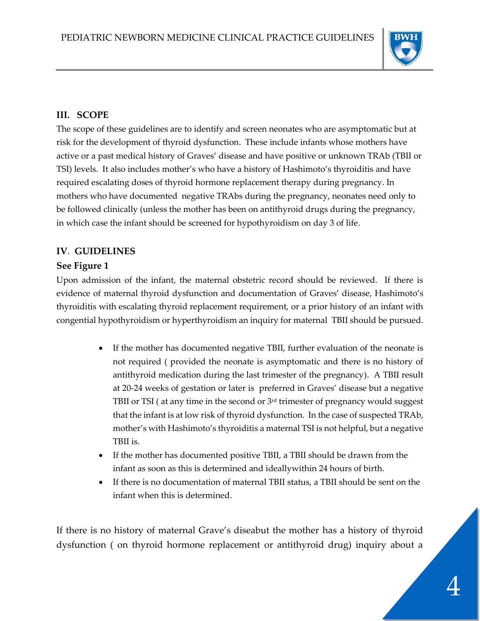

## **III. SCOPE**

The scope of these guidelines are to identify and screen neonates who are asymptomatic but at risk for the development of thyroid dysfunction. These include infants whose mothers have active or a past medical history of Graves' disease and have positive or unknown TRAb (TBII or TSI) levels. It also includes mother's who have a history of Hashimoto's thyroiditis and have required escalating doses of thyroid hormone replacement therapy during pregnancy. In mothers who have documented negative TRAbs during the pregnancy, neonates need only to be followed clinically (unless the mother has been on antithyroid drugs during the pregnancy, in which case the infant should be screened for hypothyroidism on day 3 of life.

### **IV**. **GUIDELINES**

#### **See Figure 1**

Upon admission of the infant, the maternal obstetric record should be reviewed. If there is evidence of maternal thyroid dysfunction and documentation of Graves' disease, Hashimoto's thyroiditis with escalating thyroid replacement requirement, or a prior history of an infant with congential hypothyroidism or hyperthyroidism an inquiry for maternal TBII should be pursued.

- If the mother has documented negative TBII, further evaluation of the neonate is not required ( provided the neonate is asymptomatic and there is no history of antithyroid medication during the last trimester of the pregnancy). A TBII result at 20-24 weeks of gestation or later is preferred in Graves' disease but a negative TBII or TSI (at any time in the second or  $3<sup>rd</sup>$  trimester of pregnancy would suggest that the infant is at low risk of thyroid dysfunction. In the case of suspected TRAb, mother's with Hashimoto's thyroiditis a maternal TSI is not helpful, but a negative TBII is.
- If the mother has documented positive TBII, a TBII should be drawn from the infant as soon as this is determined and ideallywithin 24 hours of birth.
- If there is no documentation of maternal TBII status, a TBII should be sent on the infant when this is determined.

If there is no history of maternal Grave's diseabut the mother has a history of thyroid dysfunction ( on thyroid hormone replacement or antithyroid drug) inquiry about a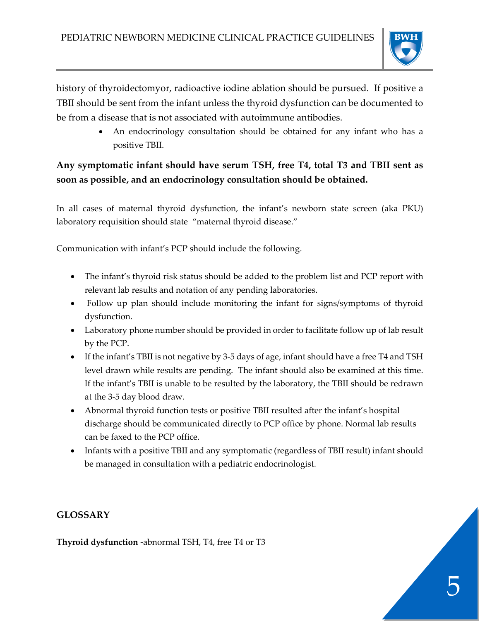

history of thyroidectomyor, radioactive iodine ablation should be pursued. If positive a TBII should be sent from the infant unless the thyroid dysfunction can be documented to be from a disease that is not associated with autoimmune antibodies.

> • An endocrinology consultation should be obtained for any infant who has a positive TBII.

# **Any symptomatic infant should have serum TSH, free T4, total T3 and TBII sent as soon as possible, and an endocrinology consultation should be obtained.**

In all cases of maternal thyroid dysfunction, the infant's newborn state screen (aka PKU) laboratory requisition should state "maternal thyroid disease."

Communication with infant's PCP should include the following.

- The infant's thyroid risk status should be added to the problem list and PCP report with relevant lab results and notation of any pending laboratories.
- Follow up plan should include monitoring the infant for signs/symptoms of thyroid dysfunction.
- Laboratory phone number should be provided in order to facilitate follow up of lab result by the PCP.
- If the infant's TBII is not negative by 3-5 days of age, infant should have a free T4 and TSH level drawn while results are pending. The infant should also be examined at this time. If the infant's TBII is unable to be resulted by the laboratory, the TBII should be redrawn at the 3-5 day blood draw.
- Abnormal thyroid function tests or positive TBII resulted after the infant's hospital discharge should be communicated directly to PCP office by phone. Normal lab results can be faxed to the PCP office.
- Infants with a positive TBII and any symptomatic (regardless of TBII result) infant should be managed in consultation with a pediatric endocrinologist.

# **GLOSSARY**

**Thyroid dysfunction** -abnormal TSH, T4, free T4 or T3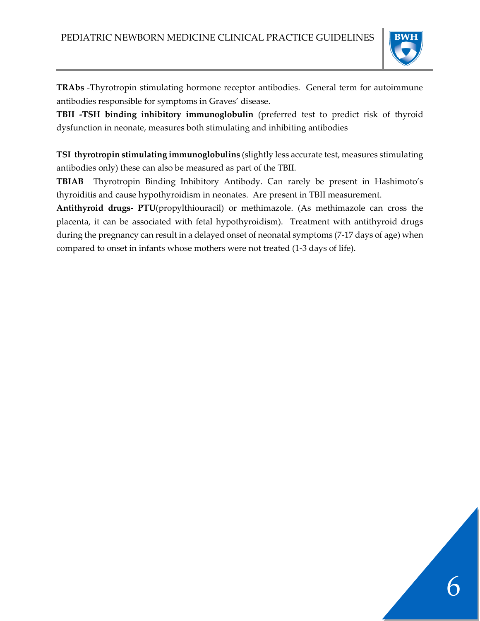

**TRAbs** -Thyrotropin stimulating hormone receptor antibodies. General term for autoimmune antibodies responsible for symptoms in Graves' disease.

**TBII -TSH binding inhibitory immunoglobulin** (preferred test to predict risk of thyroid dysfunction in neonate, measures both stimulating and inhibiting antibodies

**TSI thyrotropin stimulating immunoglobulins** (slightly less accurate test, measures stimulating antibodies only) these can also be measured as part of the TBII.

**TBIAB** Thyrotropin Binding Inhibitory Antibody. Can rarely be present in Hashimoto's thyroiditis and cause hypothyroidism in neonates. Are present in TBII measurement.

**Antithyroid drugs- PTU**(propylthiouracil) or methimazole. (As methimazole can cross the placenta, it can be associated with fetal hypothyroidism). Treatment with antithyroid drugs during the pregnancy can result in a delayed onset of neonatal symptoms (7-17 days of age) when compared to onset in infants whose mothers were not treated (1-3 days of life).

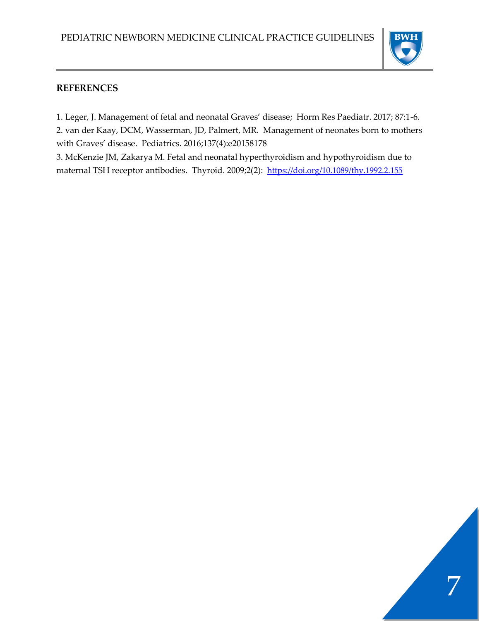

### **REFERENCES**

1. Leger, J. Management of fetal and neonatal Graves' disease; Horm Res Paediatr. 2017; 87:1-6.

2. van der Kaay, DCM, Wasserman, JD, Palmert, MR. Management of neonates born to mothers with Graves' disease. Pediatrics. 2016;137(4):e20158178

3. McKenzie JM, Zakarya M. Fetal and neonatal hyperthyroidism and hypothyroidism due to maternal TSH receptor antibodies. Thyroid. 2009;2(2): <https://doi.org/10.1089/thy.1992.2.155>

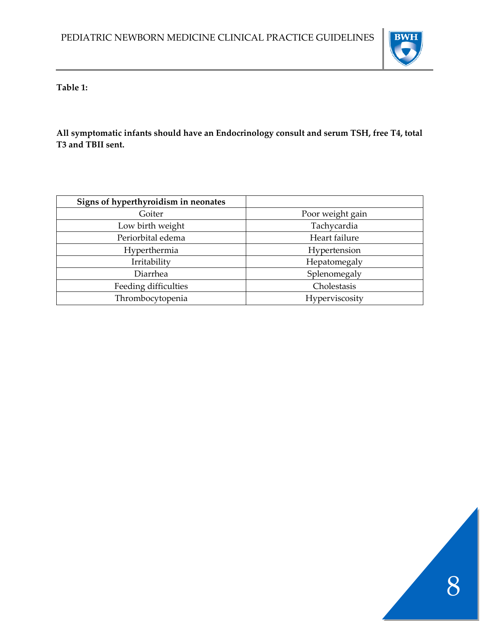

**Table 1:**

**All symptomatic infants should have an Endocrinology consult and serum TSH, free T4, total T3 and TBII sent.**

| Signs of hyperthyroidism in neonates |                  |
|--------------------------------------|------------------|
| Goiter                               | Poor weight gain |
| Low birth weight                     | Tachycardia      |
| Periorbital edema                    | Heart failure    |
| Hyperthermia                         | Hypertension     |
| Irritability                         | Hepatomegaly     |
| Diarrhea                             | Splenomegaly     |
| Feeding difficulties                 | Cholestasis      |
| Thrombocytopenia                     | Hyperviscosity   |

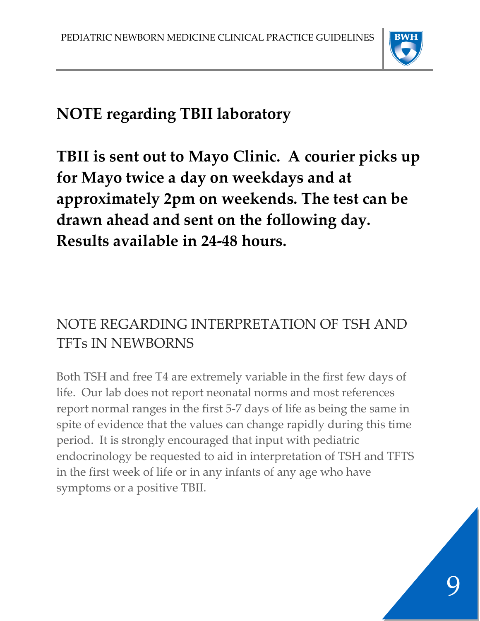

9

# **NOTE regarding TBII laboratory**

**TBII is sent out to Mayo Clinic. A courier picks up for Mayo twice a day on weekdays and at approximately 2pm on weekends. The test can be drawn ahead and sent on the following day. Results available in 24-48 hours.**

# NOTE REGARDING INTERPRETATION OF TSH AND TFTs IN NEWBORNS

Both TSH and free T4 are extremely variable in the first few days of life. Our lab does not report neonatal norms and most references report normal ranges in the first 5-7 days of life as being the same in spite of evidence that the values can change rapidly during this time period. It is strongly encouraged that input with pediatric endocrinology be requested to aid in interpretation of TSH and TFTS in the first week of life or in any infants of any age who have symptoms or a positive TBII.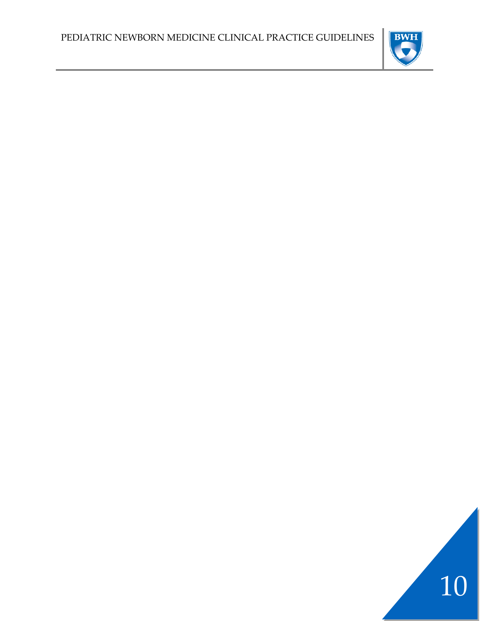

10